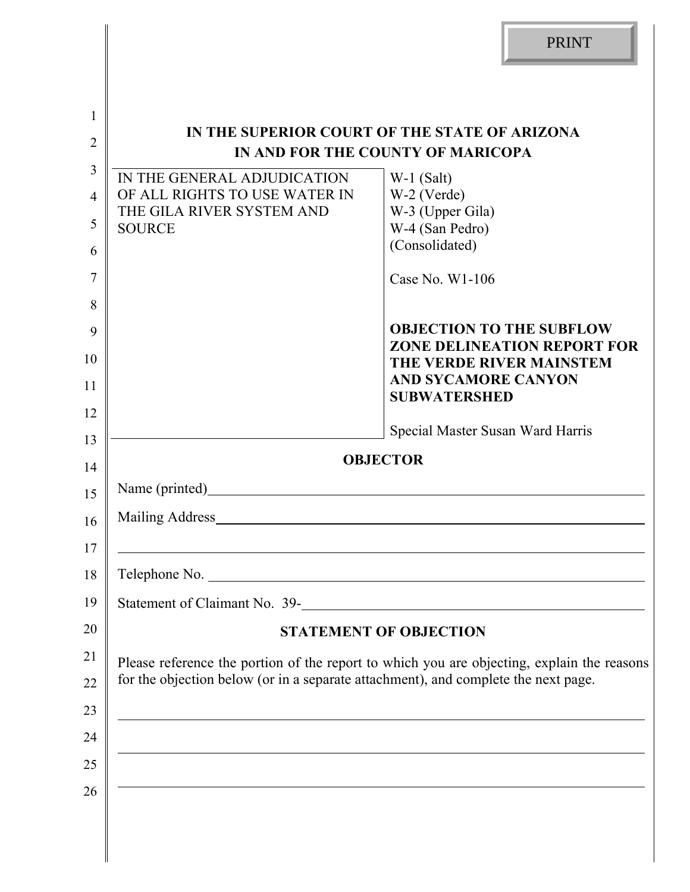|                | <b>PRINT</b>                                                                                                           |  |  |  |
|----------------|------------------------------------------------------------------------------------------------------------------------|--|--|--|
|                |                                                                                                                        |  |  |  |
| 1              | IN THE SUPERIOR COURT OF THE STATE OF ARIZONA                                                                          |  |  |  |
| $\overline{2}$ | IN AND FOR THE COUNTY OF MARICOPA                                                                                      |  |  |  |
| 3              | IN THE GENERAL ADJUDICATION<br>$W-1$ (Salt)                                                                            |  |  |  |
| $\overline{4}$ | W-2 (Verde)<br>OF ALL RIGHTS TO USE WATER IN<br>THE GILA RIVER SYSTEM AND<br>W-3 (Upper Gila)                          |  |  |  |
| 5              | W-4 (San Pedro)<br><b>SOURCE</b><br>(Consolidated)                                                                     |  |  |  |
| 6              |                                                                                                                        |  |  |  |
| 7              | Case No. $W1-106$                                                                                                      |  |  |  |
| 8              | <b>OBJECTION TO THE SUBFLOW</b>                                                                                        |  |  |  |
| 9              | <b>ZONE DELINEATION REPORT FOR</b>                                                                                     |  |  |  |
| 10             | THE VERDE RIVER MAINSTEM<br><b>AND SYCAMORE CANYON</b>                                                                 |  |  |  |
| 11             | <b>SUBWATERSHED</b>                                                                                                    |  |  |  |
| 12             | Special Master Susan Ward Harris                                                                                       |  |  |  |
| 13<br>14       | <b>OBJECTOR</b>                                                                                                        |  |  |  |
| 15             | Name (printed)                                                                                                         |  |  |  |
| 16             | Mailing Address                                                                                                        |  |  |  |
| 17             |                                                                                                                        |  |  |  |
| 18             | Telephone No.                                                                                                          |  |  |  |
| 19             | Statement of Claimant No. 39-                                                                                          |  |  |  |
| 20             | <b>STATEMENT OF OBJECTION</b>                                                                                          |  |  |  |
| 21             | Please reference the portion of the report to which you are objecting, explain the reasons                             |  |  |  |
| 22             | for the objection below (or in a separate attachment), and complete the next page.                                     |  |  |  |
| 23             | <u> 1989 - Johann Stoff, amerikansk politiker (d. 1989)</u>                                                            |  |  |  |
| 24             |                                                                                                                        |  |  |  |
| 25             | <u> 1989 - Johann Stoff, amerikansk politiker (d. 1989)</u>                                                            |  |  |  |
| 26             | <u> 1989 - Johann Stoff, deutscher Stoffen und der Stoffen und der Stoffen und der Stoffen und der Stoffen und der</u> |  |  |  |
|                |                                                                                                                        |  |  |  |